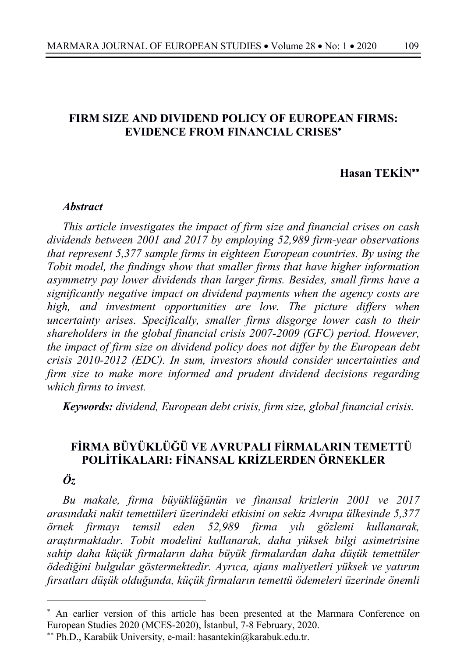## **FIRM SIZE AND DIVIDEND POLICY OF EUROPEAN FIRMS: EVIDENCE FROM FINANCIAL CRISES**\*

## **Hasan TEKİN**\*\*

#### *Abstract*

*This article investigates the impact of firm size and financial crises on cash dividends between 2001 and 2017 by employing 52,989 firm-year observations that represent 5,377 sample firms in eighteen European countries. By using the Tobit model, the findings show that smaller firms that have higher information asymmetry pay lower dividends than larger firms. Besides, small firms have a significantly negative impact on dividend payments when the agency costs are high, and investment opportunities are low. The picture differs when uncertainty arises. Specifically, smaller firms disgorge lower cash to their shareholders in the global financial crisis 2007-2009 (GFC) period. However, the impact of firm size on dividend policy does not differ by the European debt crisis 2010-2012 (EDC). In sum, investors should consider uncertainties and firm size to make more informed and prudent dividend decisions regarding which firms to invest.*

*Keywords: dividend, European debt crisis, firm size, global financial crisis.*

# **FİRMA BÜYÜKLÜĞÜ VE AVRUPALI FİRMALARIN TEMETTÜ POLİTİKALARI: FİNANSAL KRİZLERDEN ÖRNEKLER**

## *Öz*

*Bu makale, firma büyüklüğünün ve finansal krizlerin 2001 ve 2017 arasındaki nakit temettüleri üzerindeki etkisini on sekiz Avrupa ülkesinde 5,377 örnek firmayı temsil eden 52,989 firma yılı gözlemi kullanarak, araştırmaktadır. Tobit modelini kullanarak, daha yüksek bilgi asimetrisine sahip daha küçük firmaların daha büyük firmalardan daha düşük temettüler ödediğini bulgular göstermektedir. Ayrıca, ajans maliyetleri yüksek ve yatırım fırsatları düşük olduğunda, küçük firmaların temettü ödemeleri üzerinde önemli* 

<sup>\*</sup> An earlier version of this article has been presented at the Marmara Conference on European Studies 2020 (MCES-2020), İstanbul, 7-8 February, 2020.

<sup>\*\*</sup> Ph.D., Karabük University, e-mail: hasantekin@karabuk.edu.tr.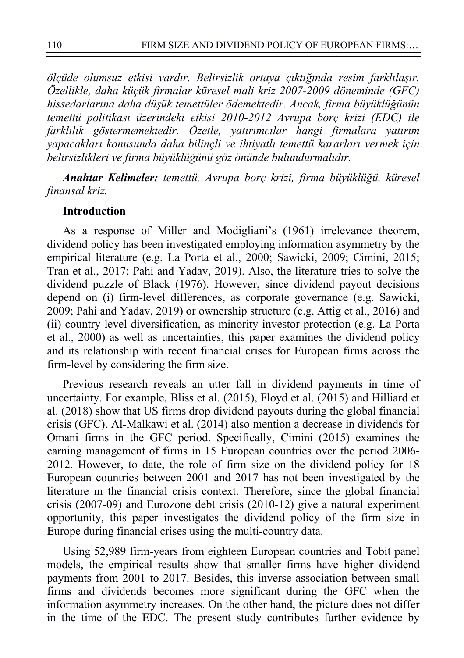*ölçüde olumsuz etkisi vardır. Belirsizlik ortaya çıktığında resim farklılaşır. Özellikle, daha küçük firmalar küresel mali kriz 2007-2009 döneminde (GFC) hissedarlarına daha düşük temettüler ödemektedir. Ancak, firma büyüklüğünün temettü politikası üzerindeki etkisi 2010-2012 Avrupa borç krizi (EDC) ile farklılık göstermemektedir. Özetle, yatırımcılar hangi firmalara yatırım yapacakları konusunda daha bilinçli ve ihtiyatlı temettü kararları vermek için belirsizlikleri ve firma büyüklüğünü göz önünde bulundurmalıdır.*

*Anahtar Kelimeler: temettü, Avrupa borç krizi, firma büyüklüğü, küresel finansal kriz.*

#### **Introduction**

As a response of Miller and Modigliani's (1961) irrelevance theorem, dividend policy has been investigated employing information asymmetry by the empirical literature (e.g. La Porta et al., 2000; Sawicki, 2009; Cimini, 2015; Tran et al., 2017; Pahi and Yadav, 2019). Also, the literature tries to solve the dividend puzzle of Black (1976). However, since dividend payout decisions depend on (i) firm-level differences, as corporate governance (e.g. Sawicki, 2009; Pahi and Yadav, 2019) or ownership structure (e.g. Attig et al., 2016) and (ii) country-level diversification, as minority investor protection (e.g. La Porta et al., 2000) as well as uncertainties, this paper examines the dividend policy and its relationship with recent financial crises for European firms across the firm-level by considering the firm size.

Previous research reveals an utter fall in dividend payments in time of uncertainty. For example, Bliss et al. (2015), Floyd et al. (2015) and Hilliard et al. (2018) show that US firms drop dividend payouts during the global financial crisis (GFC). Al-Malkawi et al. (2014) also mention a decrease in dividends for Omani firms in the GFC period. Specifically, Cimini (2015) examines the earning management of firms in 15 European countries over the period 2006- 2012. However, to date, the role of firm size on the dividend policy for 18 European countries between 2001 and 2017 has not been investigated by the literature ın the financial crisis context. Therefore, since the global financial crisis (2007-09) and Eurozone debt crisis (2010-12) give a natural experiment opportunity, this paper investigates the dividend policy of the firm size in Europe during financial crises using the multi-country data.

Using 52,989 firm-years from eighteen European countries and Tobit panel models, the empirical results show that smaller firms have higher dividend payments from 2001 to 2017. Besides, this inverse association between small firms and dividends becomes more significant during the GFC when the information asymmetry increases. On the other hand, the picture does not differ in the time of the EDC. The present study contributes further evidence by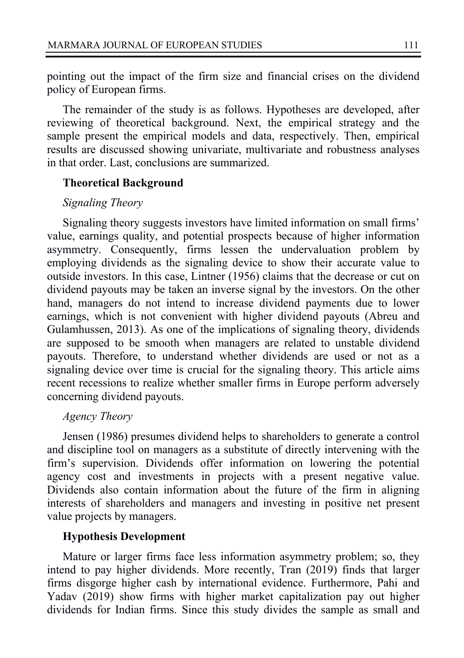pointing out the impact of the firm size and financial crises on the dividend policy of European firms.

The remainder of the study is as follows. Hypotheses are developed, after reviewing of theoretical background. Next, the empirical strategy and the sample present the empirical models and data, respectively. Then, empirical results are discussed showing univariate, multivariate and robustness analyses in that order. Last, conclusions are summarized.

#### **Theoretical Background**

### *Signaling Theory*

Signaling theory suggests investors have limited information on small firms' value, earnings quality, and potential prospects because of higher information asymmetry. Consequently, firms lessen the undervaluation problem by employing dividends as the signaling device to show their accurate value to outside investors. In this case, Lintner (1956) claims that the decrease or cut on dividend payouts may be taken an inverse signal by the investors. On the other hand, managers do not intend to increase dividend payments due to lower earnings, which is not convenient with higher dividend payouts (Abreu and Gulamhussen, 2013). As one of the implications of signaling theory, dividends are supposed to be smooth when managers are related to unstable dividend payouts. Therefore, to understand whether dividends are used or not as a signaling device over time is crucial for the signaling theory. This article aims recent recessions to realize whether smaller firms in Europe perform adversely concerning dividend payouts.

#### *Agency Theory*

Jensen (1986) presumes dividend helps to shareholders to generate a control and discipline tool on managers as a substitute of directly intervening with the firm's supervision. Dividends offer information on lowering the potential agency cost and investments in projects with a present negative value. Dividends also contain information about the future of the firm in aligning interests of shareholders and managers and investing in positive net present value projects by managers.

#### **Hypothesis Development**

Mature or larger firms face less information asymmetry problem; so, they intend to pay higher dividends. More recently, Tran (2019) finds that larger firms disgorge higher cash by international evidence. Furthermore, Pahi and Yadav (2019) show firms with higher market capitalization pay out higher dividends for Indian firms. Since this study divides the sample as small and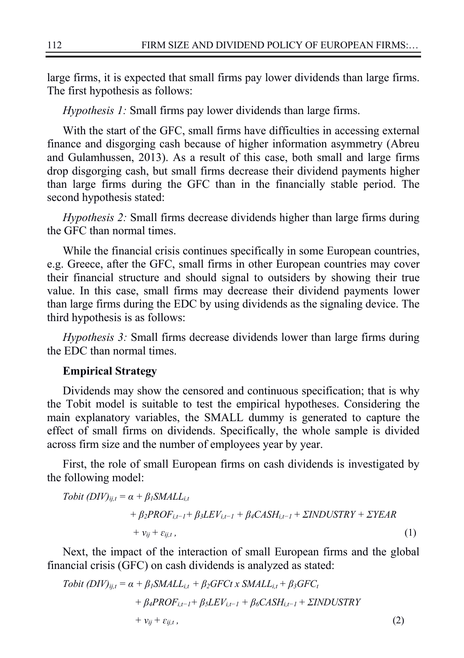large firms, it is expected that small firms pay lower dividends than large firms. The first hypothesis as follows:

*Hypothesis 1:* Small firms pay lower dividends than large firms.

With the start of the GFC, small firms have difficulties in accessing external finance and disgorging cash because of higher information asymmetry (Abreu and Gulamhussen, 2013). As a result of this case, both small and large firms drop disgorging cash, but small firms decrease their dividend payments higher than large firms during the GFC than in the financially stable period. The second hypothesis stated:

*Hypothesis 2:* Small firms decrease dividends higher than large firms during the GFC than normal times.

While the financial crisis continues specifically in some European countries, e.g. Greece, after the GFC, small firms in other European countries may cover their financial structure and should signal to outsiders by showing their true value. In this case, small firms may decrease their dividend payments lower than large firms during the EDC by using dividends as the signaling device. The third hypothesis is as follows:

*Hypothesis 3:* Small firms decrease dividends lower than large firms during the EDC than normal times.

#### **Empirical Strategy**

Dividends may show the censored and continuous specification; that is why the Tobit model is suitable to test the empirical hypotheses. Considering the main explanatory variables, the SMALL dummy is generated to capture the effect of small firms on dividends. Specifically, the whole sample is divided across firm size and the number of employees year by year.

First, the role of small European firms on cash dividends is investigated by the following model:

*Tobit (DIV)*<sub>*ij,t*</sub> = 
$$
\alpha + \beta_l
$$
*SMALL<sub>i,t</sub>*  
+  $\beta_2$ *PROF<sub>i,t-1</sub>*+  $\beta_3$ *LEV<sub>i,t-1</sub>*+  $\beta_4$ *CASH<sub>i,t-1</sub>*+  $\Sigma$ *INDUSTRY* +  $\Sigma$ *YEAR*  
+  $v_{ij} + \varepsilon_{ij,t}$ , (1)

Next, the impact of the interaction of small European firms and the global financial crisis (GFC) on cash dividends is analyzed as stated:

*Tobit (DIV)*<sub>ij,t</sub> = 
$$
\alpha + \beta_1
$$
*SMALL*<sub>i,t</sub> +  $\beta_2$ *GFC*<sub>t</sub> *x SMALL*<sub>i,t</sub> +  $\beta_3$ *GFC*<sub>t</sub>  
+  $\beta_4$ *PROF*<sub>i,t-1</sub> +  $\beta_5$ *LEV*<sub>i,t-1</sub> +  $\beta_6$ *CASH*<sub>i,t-1</sub> + *ZINDUSTRY*  
+  $v_{ij} + \varepsilon_{ij,t}$ , (2)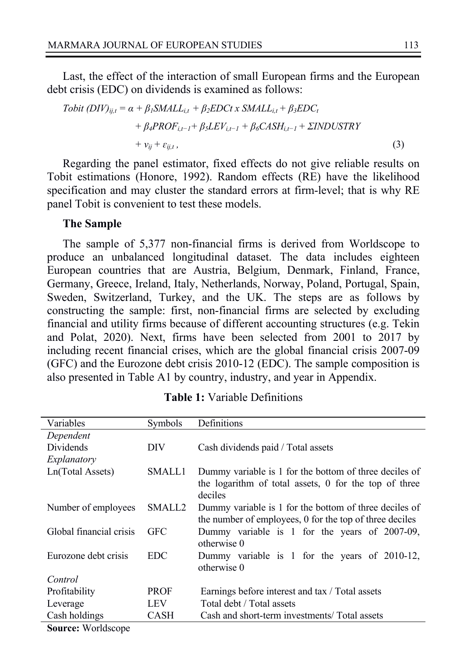Last, the effect of the interaction of small European firms and the European debt crisis (EDC) on dividends is examined as follows:

\n
$$
\text{Tobit (DIV)}_{ij,t} = \alpha + \beta_1 \text{S} \text{M} \text{ALL}_{i,t} + \beta_2 \text{EDC} \text{tx} \text{S} \text{M} \text{ALL}_{i,t} + \beta_3 \text{EDC}_t \\
+ \beta_4 \text{PROF}_{i,t-1} + \beta_5 \text{LEV}_{i,t-1} + \beta_6 \text{C} \text{ASH}_{i,t-1} + \Sigma \text{INDUSTRY} \\
+ v_{ij} + \varepsilon_{ij,t},
$$
\n

\n\n(3)\n

Regarding the panel estimator, fixed effects do not give reliable results on Tobit estimations (Honore, 1992). Random effects (RE) have the likelihood specification and may cluster the standard errors at firm-level; that is why RE panel Tobit is convenient to test these models.

#### **The Sample**

The sample of 5,377 non-financial firms is derived from Worldscope to produce an unbalanced longitudinal dataset. The data includes eighteen European countries that are Austria, Belgium, Denmark, Finland, France, Germany, Greece, Ireland, Italy, Netherlands, Norway, Poland, Portugal, Spain, Sweden, Switzerland, Turkey, and the UK. The steps are as follows by constructing the sample: first, non-financial firms are selected by excluding financial and utility firms because of different accounting structures (e.g. Tekin and Polat, 2020). Next, firms have been selected from 2001 to 2017 by including recent financial crises, which are the global financial crisis 2007-09 (GFC) and the Eurozone debt crisis 2010-12 (EDC). The sample composition is also presented in Table A1 by country, industry, and year in Appendix.

| Variables               | Symbols     | Definitions                                                                                                                |
|-------------------------|-------------|----------------------------------------------------------------------------------------------------------------------------|
| Dependent               |             |                                                                                                                            |
| Dividends               | DIV.        | Cash dividends paid / Total assets                                                                                         |
| Explanatory             |             |                                                                                                                            |
| Ln(Total Assets)        | SMALL1      | Dummy variable is 1 for the bottom of three deciles of<br>the logarithm of total assets, 0 for the top of three<br>deciles |
| Number of employees     | SMALL2      | Dummy variable is 1 for the bottom of three deciles of<br>the number of employees, 0 for the top of three deciles          |
| Global financial crisis | <b>GFC</b>  | Dummy variable is 1 for the years of 2007-09,<br>otherwise 0                                                               |
| Eurozone debt crisis    | EDC.        | Dummy variable is 1 for the years of 2010-12,<br>otherwise 0                                                               |
| Control                 |             |                                                                                                                            |
| Profitability           | <b>PROF</b> | Earnings before interest and tax / Total assets                                                                            |
| Leverage                | LEV         | Total debt / Total assets                                                                                                  |
| Cash holdings           | <b>CASH</b> | Cash and short-term investments/ Total assets                                                                              |

**Table 1:** Variable Definitions

**Source:** Worldscope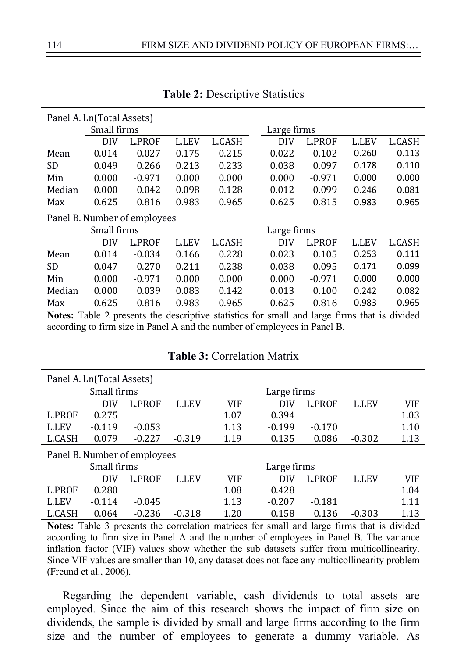| Panel A. Ln(Total Assets) |             |                              |              |        |  |             |          |              |        |
|---------------------------|-------------|------------------------------|--------------|--------|--|-------------|----------|--------------|--------|
|                           | Small firms |                              |              |        |  | Large firms |          |              |        |
|                           | DIV         | <b>L.PROF</b>                | <b>L.LEV</b> | L.CASH |  | DIV         | L.PROF   | <b>L.LEV</b> | L.CASH |
| Mean                      | 0.014       | $-0.027$                     | 0.175        | 0.215  |  | 0.022       | 0.102    | 0.260        | 0.113  |
| SD                        | 0.049       | 0.266                        | 0.213        | 0.233  |  | 0.038       | 0.097    | 0.178        | 0.110  |
| Min                       | 0.000       | $-0.971$                     | 0.000        | 0.000  |  | 0.000       | $-0.971$ | 0.000        | 0.000  |
| Median                    | 0.000       | 0.042                        | 0.098        | 0.128  |  | 0.012       | 0.099    | 0.246        | 0.081  |
| Max                       | 0.625       | 0.816                        | 0.983        | 0.965  |  | 0.625       | 0.815    | 0.983        | 0.965  |
|                           |             | Panel B. Number of employees |              |        |  |             |          |              |        |
|                           | Small firms |                              |              |        |  | Large firms |          |              |        |
|                           | <b>DIV</b>  | <b>L.PROF</b>                | <b>L.LEV</b> | L.CASH |  | DIV         | L.PROF   | <b>L.LEV</b> | L.CASH |
| Mean                      | 0.014       | $-0.034$                     | 0.166        | 0.228  |  | 0.023       | 0.105    | 0.253        | 0.111  |
| SD                        | 0.047       | 0.270                        | 0.211        | 0.238  |  | 0.038       | 0.095    | 0.171        | 0.099  |
| Min                       | 0.000       | $-0.971$                     | 0.000        | 0.000  |  | 0.000       | $-0.971$ | 0.000        | 0.000  |
| Median                    | 0.000       | 0.039                        | 0.083        | 0.142  |  | 0.013       | 0.100    | 0.242        | 0.082  |
|                           |             |                              |              |        |  |             |          |              |        |

**Table 2:** Descriptive Statistics

**Notes:** Table 2 presents the descriptive statistics for small and large firms that is divided according to firm size in Panel A and the number of employees in Panel B.

|               | Panel A. Ln(Total Assets)    |               |              |      |             |               |              |      |
|---------------|------------------------------|---------------|--------------|------|-------------|---------------|--------------|------|
|               | Small firms                  |               |              |      | Large firms |               |              |      |
|               | DIV                          | <b>L.PROF</b> | <b>L.LEV</b> | VIF  | DIV         | <b>L.PROF</b> | <b>L.LEV</b> | VIF  |
| L.PROF        | 0.275                        |               |              | 1.07 | 0.394       |               |              | 1.03 |
| <b>L.LEV</b>  | $-0.119$                     | $-0.053$      |              | 1.13 | $-0.199$    | $-0.170$      |              | 1.10 |
| L.CASH        | 0.079                        | $-0.227$      | $-0.319$     | 1.19 | 0.135       | 0.086         | $-0.302$     | 1.13 |
|               | Panel B. Number of employees |               |              |      |             |               |              |      |
|               | Small firms                  |               |              |      | Large firms |               |              |      |
|               | DIV                          | <b>L.PROF</b> | <b>L.LEV</b> | VIF  | DIV         | <b>L.PROF</b> | L.LEV        | VIF  |
| <b>L.PROF</b> | 0.280                        |               |              | 1.08 | 0.428       |               |              | 1.04 |
| <b>L.LEV</b>  | $-0.114$                     | $-0.045$      |              | 1.13 | $-0.207$    | $-0.181$      |              | 1.11 |
| L.CASH        | 0.064                        | $-0.236$      | $-0.318$     | 1.20 | 0.158       | 0.136         | $-0.303$     | 1.13 |

## **Table 3:** Correlation Matrix

**Notes:** Table 3 presents the correlation matrices for small and large firms that is divided according to firm size in Panel A and the number of employees in Panel B. The variance inflation factor (VIF) values show whether the sub datasets suffer from multicollinearity. Since VIF values are smaller than 10, any dataset does not face any multicollinearity problem (Freund et al., 2006).

Regarding the dependent variable, cash dividends to total assets are employed. Since the aim of this research shows the impact of firm size on dividends, the sample is divided by small and large firms according to the firm size and the number of employees to generate a dummy variable. As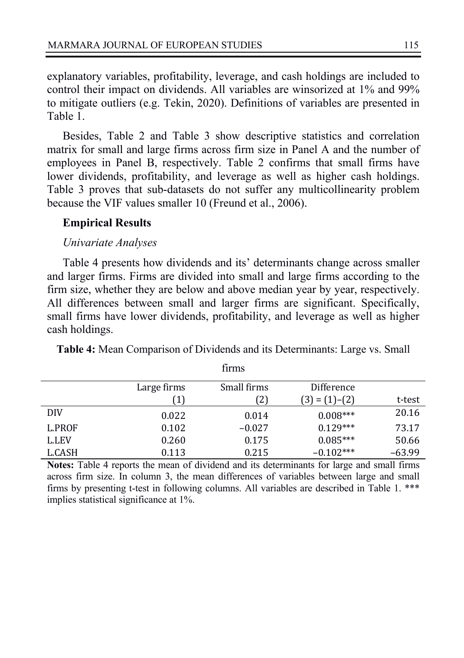explanatory variables, profitability, leverage, and cash holdings are included to control their impact on dividends. All variables are winsorized at 1% and 99% to mitigate outliers (e.g. Tekin, 2020). Definitions of variables are presented in Table 1.

Besides, Table 2 and Table 3 show descriptive statistics and correlation matrix for small and large firms across firm size in Panel A and the number of employees in Panel B, respectively. Table 2 confirms that small firms have lower dividends, profitability, and leverage as well as higher cash holdings. Table 3 proves that sub-datasets do not suffer any multicollinearity problem because the VIF values smaller 10 (Freund et al., 2006).

#### **Empirical Results**

#### *Univariate Analyses*

Table 4 presents how dividends and its' determinants change across smaller and larger firms. Firms are divided into small and large firms according to the firm size, whether they are below and above median year by year, respectively. All differences between small and larger firms are significant. Specifically, small firms have lower dividends, profitability, and leverage as well as higher cash holdings.

|              |              | ,,,,,,,     |                   |          |
|--------------|--------------|-------------|-------------------|----------|
|              | Large firms  | Small firms | Difference        |          |
|              | $\mathbf{1}$ | 21          | $(3) = (1) - (2)$ | t-test   |
| DIV          | 0.022        | 0.014       | $0.008***$        | 20.16    |
| L.PROF       | 0.102        | $-0.027$    | $0.129***$        | 73.17    |
| <b>L.LEV</b> | 0.260        | 0.175       | $0.085***$        | 50.66    |
| L.CASH       | 0.113        | 0.215       | $-0.102***$       | $-63.99$ |

**Table 4:** Mean Comparison of Dividends and its Determinants: Large vs. Small firms

**Notes:** Table 4 reports the mean of dividend and its determinants for large and small firms across firm size. In column 3, the mean differences of variables between large and small firms by presenting t-test in following columns. All variables are described in Table 1. \*\*\* implies statistical significance at 1%.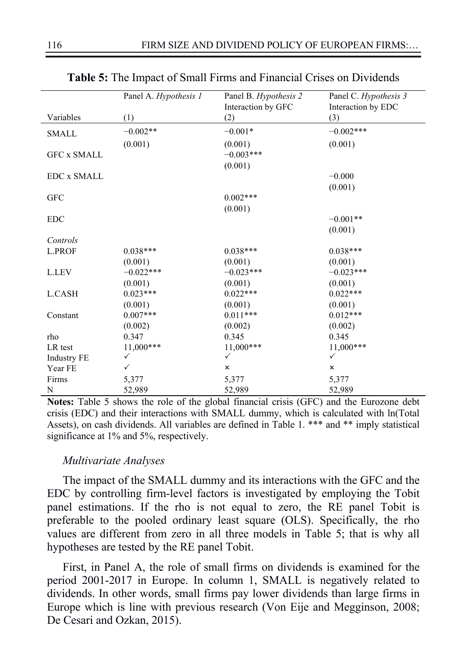| Panel A. Hypothesis 1 | Panel B. Hypothesis 2 | Panel C. Hypothesis 3 |
|-----------------------|-----------------------|-----------------------|
|                       | Interaction by GFC    | Interaction by EDC    |
| (1)                   | (2)                   | (3)                   |
| $-0.002**$            | $-0.001*$             | $-0.002***$           |
| (0.001)               | (0.001)               | (0.001)               |
|                       | $-0.003***$           |                       |
|                       | (0.001)               |                       |
|                       |                       | $-0.000$              |
|                       |                       | (0.001)               |
|                       | $0.002***$            |                       |
|                       | (0.001)               |                       |
|                       |                       | $-0.001**$            |
|                       |                       | (0.001)               |
|                       |                       |                       |
| $0.038***$            | $0.038***$            | $0.038***$            |
| (0.001)               | (0.001)               | (0.001)               |
| $-0.022***$           | $-0.023***$           | $-0.023***$           |
| (0.001)               | (0.001)               | (0.001)               |
| $0.023***$            | $0.022***$            | $0.022***$            |
| (0.001)               | (0.001)               | (0.001)               |
| $0.007***$            | $0.011***$            | $0.012***$            |
| (0.002)               | (0.002)               | (0.002)               |
| 0.347                 | 0.345                 | 0.345                 |
|                       |                       | 11,000***             |
| $\checkmark$          | $\checkmark$          | $\checkmark$          |
| $\checkmark$          | ×                     | ×                     |
| 5,377                 | 5,377                 | 5,377                 |
| 52,989                | 52,989                | 52,989                |
|                       | $11,000***$           | $11,000***$           |

**Table 5:** The Impact of Small Firms and Financial Crises on Dividends

**Notes:** Table 5 shows the role of the global financial crisis (GFC) and the Eurozone debt crisis (EDC) and their interactions with SMALL dummy, which is calculated with ln(Total Assets), on cash dividends. All variables are defined in Table 1. \*\*\* and \*\* imply statistical significance at 1% and 5%, respectively.

#### *Multivariate Analyses*

The impact of the SMALL dummy and its interactions with the GFC and the EDC by controlling firm-level factors is investigated by employing the Tobit panel estimations. If the rho is not equal to zero, the RE panel Tobit is preferable to the pooled ordinary least square (OLS). Specifically, the rho values are different from zero in all three models in Table 5; that is why all hypotheses are tested by the RE panel Tobit.

First, in Panel A, the role of small firms on dividends is examined for the period 2001-2017 in Europe. In column 1, SMALL is negatively related to dividends. In other words, small firms pay lower dividends than large firms in Europe which is line with previous research (Von Eije and Megginson, 2008; De Cesari and Ozkan, 2015).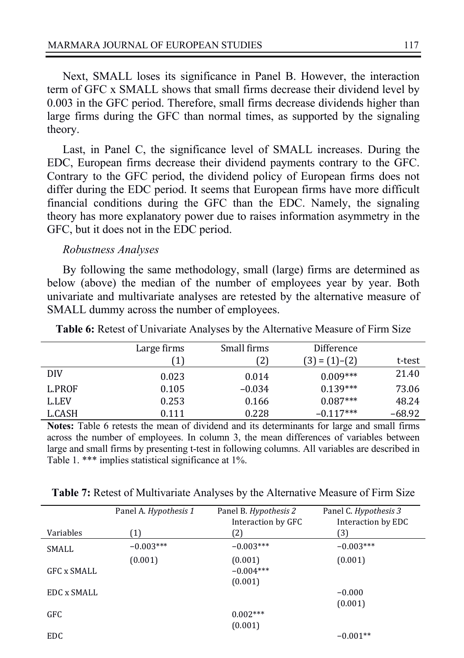Next, SMALL loses its significance in Panel B. However, the interaction term of GFC x SMALL shows that small firms decrease their dividend level by 0.003 in the GFC period. Therefore, small firms decrease dividends higher than large firms during the GFC than normal times, as supported by the signaling theory.

Last, in Panel C, the significance level of SMALL increases. During the EDC, European firms decrease their dividend payments contrary to the GFC. Contrary to the GFC period, the dividend policy of European firms does not differ during the EDC period. It seems that European firms have more difficult financial conditions during the GFC than the EDC. Namely, the signaling theory has more explanatory power due to raises information asymmetry in the GFC, but it does not in the EDC period.

#### *Robustness Analyses*

By following the same methodology, small (large) firms are determined as below (above) the median of the number of employees year by year. Both univariate and multivariate analyses are retested by the alternative measure of SMALL dummy across the number of employees.

|              | Large firms | Small firms | Difference        |          |
|--------------|-------------|-------------|-------------------|----------|
|              | [1]         | 21          | $(3) = (1) - (2)$ | t-test   |
| <b>DIV</b>   | 0.023       | 0.014       | $0.009***$        | 21.40    |
| L.PROF       | 0.105       | $-0.034$    | $0.139***$        | 73.06    |
| <b>L.LEV</b> | 0.253       | 0.166       | $0.087***$        | 48.24    |
| L.CASH       | 0.111       | 0.228       | $-0.117***$       | $-68.92$ |

**Table 6:** Retest of Univariate Analyses by the Alternative Measure of Firm Size

**Notes:** Table 6 retests the mean of dividend and its determinants for large and small firms across the number of employees. In column 3, the mean differences of variables between large and small firms by presenting t-test in following columns. All variables are described in Table 1. \*\*\* implies statistical significance at 1%.

|             | Panel A. Hypothesis 1 | Panel B. Hypothesis 2 | Panel C. Hypothesis 3 |
|-------------|-----------------------|-----------------------|-----------------------|
|             |                       | Interaction by GFC    | Interaction by EDC    |
| Variables   | (1)                   | (2)                   | (3)                   |
| SMALL       | $-0.003***$           | $-0.003***$           | $-0.003***$           |
|             | (0.001)               | (0.001)               | (0.001)               |
| GFC x SMALL |                       | $-0.004***$           |                       |
|             |                       | (0.001)               |                       |
| EDC x SMALL |                       |                       | $-0.000$              |
|             |                       |                       | (0.001)               |
| GFC.        |                       | $0.002***$            |                       |
|             |                       | (0.001)               |                       |
| <b>EDC</b>  |                       |                       | $-0.001**$            |

**Table 7:** Retest of Multivariate Analyses by the Alternative Measure of Firm Size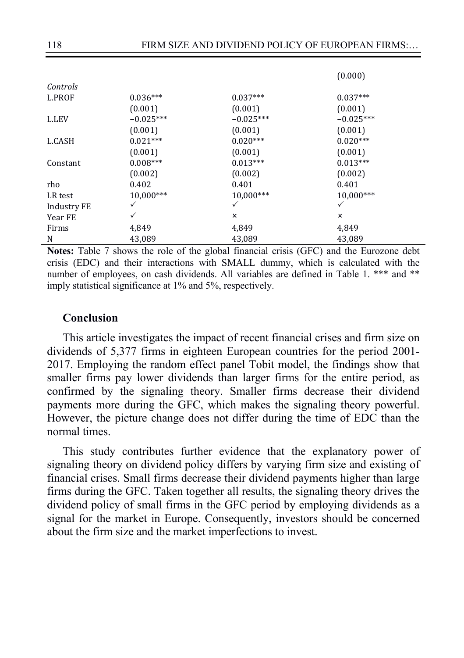|             |             |             | (0.000)                   |  |
|-------------|-------------|-------------|---------------------------|--|
| Controls    |             |             |                           |  |
| L.PROF      | $0.036***$  | $0.037***$  | $0.037***$                |  |
|             | (0.001)     | (0.001)     | (0.001)                   |  |
| L.LEV       | $-0.025***$ | $-0.025***$ | $-0.025***$               |  |
|             | (0.001)     | (0.001)     | (0.001)                   |  |
| L.CASH      | $0.021***$  | $0.020***$  | $0.020***$                |  |
|             | (0.001)     | (0.001)     | (0.001)                   |  |
| Constant    | $0.008***$  | $0.013***$  | $0.013***$                |  |
|             | (0.002)     | (0.002)     | (0.002)                   |  |
| rho         | 0.402       | 0.401       | 0.401                     |  |
| LR test     | 10,000***   | 10,000***   | 10,000***                 |  |
| Industry FE | ✓           | ✓           | ✓                         |  |
| Year FE     | ✓           | x           | $\boldsymbol{\mathsf{x}}$ |  |
| Firms       | 4,849       | 4,849       | 4,849                     |  |
| N           | 43,089      | 43,089      | 43,089                    |  |

**Notes:** Table 7 shows the role of the global financial crisis (GFC) and the Eurozone debt crisis (EDC) and their interactions with SMALL dummy, which is calculated with the number of employees, on cash dividends. All variables are defined in Table 1. \*\*\* and \*\* imply statistical significance at 1% and 5%, respectively.

### **Conclusion**

This article investigates the impact of recent financial crises and firm size on dividends of 5,377 firms in eighteen European countries for the period 2001- 2017. Employing the random effect panel Tobit model, the findings show that smaller firms pay lower dividends than larger firms for the entire period, as confirmed by the signaling theory. Smaller firms decrease their dividend payments more during the GFC, which makes the signaling theory powerful. However, the picture change does not differ during the time of EDC than the normal times.

This study contributes further evidence that the explanatory power of signaling theory on dividend policy differs by varying firm size and existing of financial crises. Small firms decrease their dividend payments higher than large firms during the GFC. Taken together all results, the signaling theory drives the dividend policy of small firms in the GFC period by employing dividends as a signal for the market in Europe. Consequently, investors should be concerned about the firm size and the market imperfections to invest.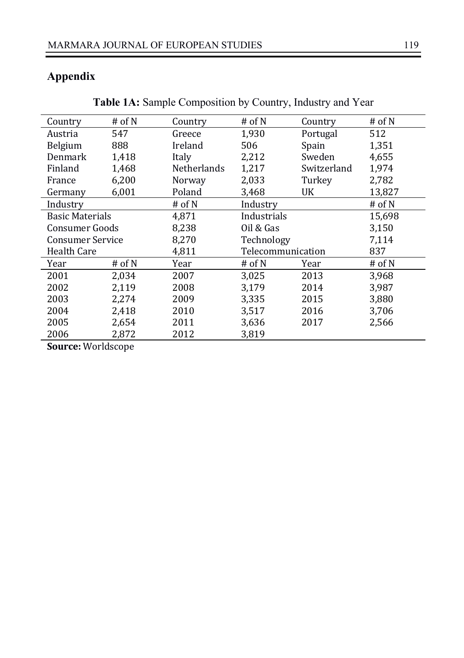# **Appendix**

| Country                 | # of $N$ | Country            | # of N            | Country     | # of $N$ |
|-------------------------|----------|--------------------|-------------------|-------------|----------|
| Austria                 | 547      | Greece             | 1,930             | Portugal    | 512      |
| Belgium                 | 888      | Ireland            | 506               | Spain       | 1,351    |
| Denmark                 | 1,418    | Italy              | 2,212             | Sweden      | 4,655    |
| Finland                 | 1,468    | <b>Netherlands</b> | 1,217             | Switzerland | 1,974    |
| France                  | 6,200    | Norway             | 2,033             | Turkey      | 2,782    |
| Germany                 | 6,001    | Poland             | 3,468             | UK          | 13,827   |
| Industry                |          | # of $N$           | Industry          |             | # of N   |
| <b>Basic Materials</b>  |          | 4.871              | Industrials       |             | 15.698   |
| <b>Consumer Goods</b>   |          | 8,238              | Oil & Gas         |             | 3,150    |
| <b>Consumer Service</b> |          | 8,270              | Technology        |             | 7,114    |
| Health Care             |          | 4,811              | Telecommunication |             | 837      |
| Year                    | # of $N$ | Year               | # of $N$          | Year        | # of $N$ |
| 2001                    | 2.034    | 2007               | 3.025             | 2013        | 3.968    |
| 2002                    | 2,119    | 2008               | 3,179             | 2014        | 3,987    |
| 2003                    | 2,274    | 2009               | 3,335             | 2015        | 3,880    |
| 2004                    | 2,418    | 2010               | 3,517             | 2016        | 3,706    |
| 2005                    | 2,654    | 2011               | 3,636             | 2017        | 2,566    |
| 2006                    | 2,872    | 2012               | 3,819             |             |          |

**Table 1A:** Sample Composition by Country, Industry and Year

**Source:** Worldscope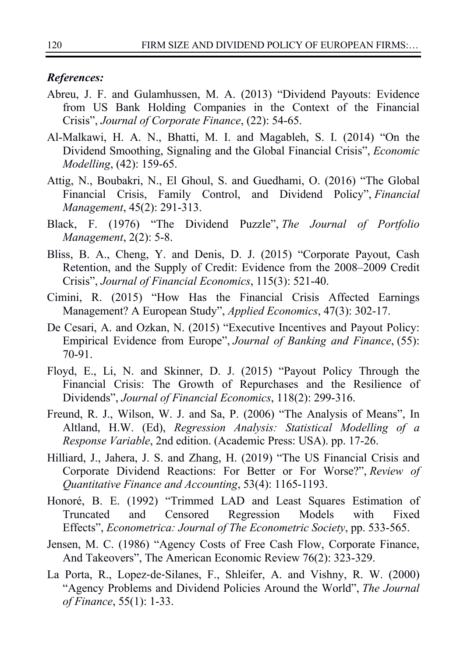### *References:*

- Abreu, J. F. and Gulamhussen, M. A. (2013) "Dividend Payouts: Evidence from US Bank Holding Companies in the Context of the Financial Crisis", *Journal of Corporate Finance*, (22): 54-65.
- Al-Malkawi, H. A. N., Bhatti, M. I. and Magableh, S. I. (2014) "On the Dividend Smoothing, Signaling and the Global Financial Crisis", *Economic Modelling*, (42): 159-65.
- Attig, N., Boubakri, N., El Ghoul, S. and Guedhami, O. (2016) "The Global Financial Crisis, Family Control, and Dividend Policy", *Financial Management*, 45(2): 291-313.
- Black, F. (1976) "The Dividend Puzzle", *The Journal of Portfolio Management*, 2(2): 5-8.
- Bliss, B. A., Cheng, Y. and Denis, D. J. (2015) "Corporate Payout, Cash Retention, and the Supply of Credit: Evidence from the 2008–2009 Credit Crisis", *Journal of Financial Economics*, 115(3): 521-40.
- Cimini, R. (2015) "How Has the Financial Crisis Affected Earnings Management? A European Study", *Applied Economics*, 47(3): 302-17.
- De Cesari, A. and Ozkan, N. (2015) "Executive Incentives and Payout Policy: Empirical Evidence from Europe", *Journal of Banking and Finance*, (55): 70-91.
- Floyd, E., Li, N. and Skinner, D. J. (2015) "Payout Policy Through the Financial Crisis: The Growth of Repurchases and the Resilience of Dividends", *Journal of Financial Economics*, 118(2): 299-316.
- Freund, R. J., Wilson, W. J. and Sa, P. (2006) "The Analysis of Means", In Altland, H.W. (Ed), *Regression Analysis: Statistical Modelling of a Response Variable*, 2nd edition. (Academic Press: USA). pp. 17-26.
- Hilliard, J., Jahera, J. S. and Zhang, H. (2019) "The US Financial Crisis and Corporate Dividend Reactions: For Better or For Worse?", *Review of Quantitative Finance and Accounting*, 53(4): 1165-1193.
- Honoré, B. E. (1992) "Trimmed LAD and Least Squares Estimation of Truncated and Censored Regression Models with Fixed Effects", *Econometrica: Journal of The Econometric Society*, pp. 533-565.
- Jensen, M. C. (1986) "Agency Costs of Free Cash Flow, Corporate Finance, And Takeovers", The American Economic Review 76(2): 323-329.
- La Porta, R., Lopez-de-Silanes, F., Shleifer, A. and Vishny, R. W. (2000) "Agency Problems and Dividend Policies Around the World", *The Journal of Finance*, 55(1): 1-33.